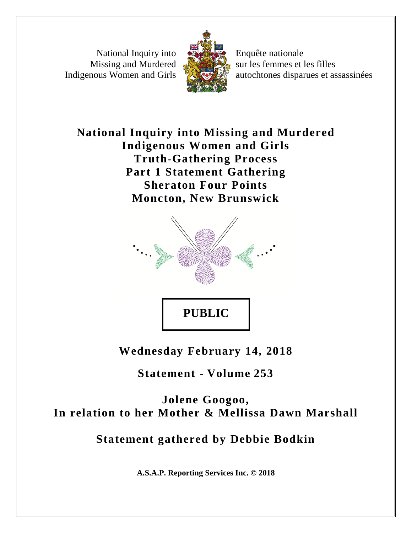National Inquiry into Missing and Murdered Indigenous Women and Girls



Enquête nationale sur les femmes et les filles autochtones disparues et assassinées

**National Inquiry into Missing and Murdered Indigenous Women and Girls Truth-Gathering Process Part 1 Statement Gathering Sheraton Four Points Moncton, New Brunswick**



**Wednesday February 14, 2018**

**Statement - Volume 253**

**Jolene Googoo, In relation to her Mother & Mellissa Dawn Marshall**

**Statement gathered by Debbie Bodkin**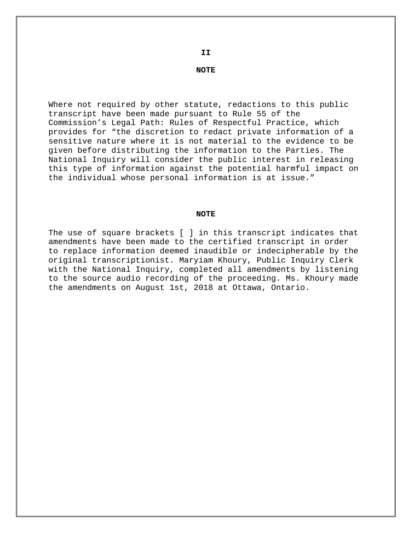**NOTE**

Where not required by other statute, redactions to this public transcript have been made pursuant to Rule 55 of the Commission's Legal Path: Rules of Respectful Practice, which provides for "the discretion to redact private information of a sensitive nature where it is not material to the evidence to be given before distributing the information to the Parties. The National Inquiry will consider the public interest in releasing this type of information against the potential harmful impact on the individual whose personal information is at issue."

#### **NOTE**

The use of square brackets [ ] in this transcript indicates that amendments have been made to the certified transcript in order to replace information deemed inaudible or indecipherable by the original transcriptionist. Maryiam Khoury, Public Inquiry Clerk with the National Inquiry, completed all amendments by listening to the source audio recording of the proceeding. Ms. Khoury made the amendments on August 1st, 2018 at Ottawa, Ontario.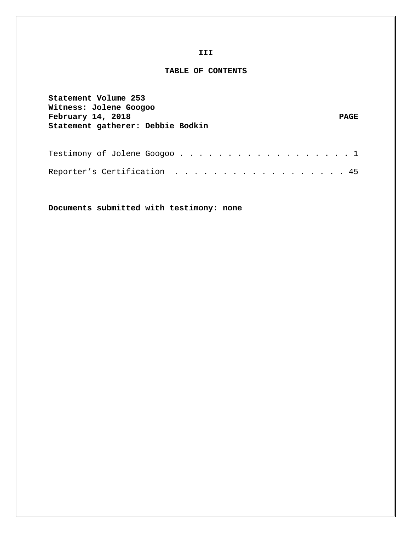#### **III**

#### **TABLE OF CONTENTS**

| Statement Volume 253<br>Witness: Jolene Googoo<br>February 14, 2018<br>Statement gatherer: Debbie Bodkin | <b>PAGE</b> |
|----------------------------------------------------------------------------------------------------------|-------------|
|                                                                                                          |             |
| Reporter's Certification 45                                                                              |             |

**Documents submitted with testimony: none**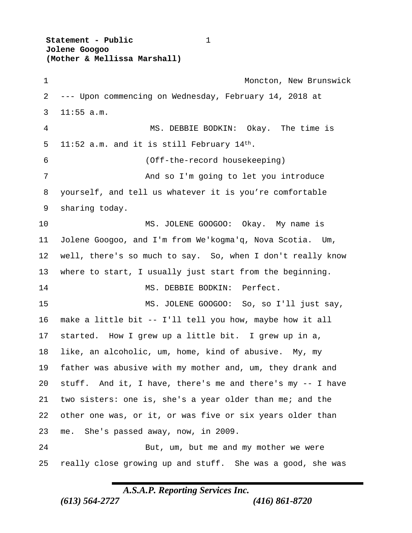**Statement - Public** 1  **Jolene Googoo (Mother & Mellissa Marshall)**

1 Moncton, New Brunswick --- Upon commencing on Wednesday, February 14, 2018 at 11:55 a.m. MS. DEBBIE BODKIN: Okay. The time is 5 11:52 a.m. and it is still February  $14<sup>th</sup>$ . (Off-the-record housekeeping) And so I'm going to let you introduce yourself, and tell us whatever it is you're comfortable sharing today. MS. JOLENE GOOGOO: Okay. My name is Jolene Googoo, and I'm from We'kogma'q, Nova Scotia. Um, well, there's so much to say. So, when I don't really know where to start, I usually just start from the beginning. 14 MS. DEBBIE BODKIN: Perfect. MS. JOLENE GOOGOO: So, so I'll just say, make a little bit -- I'll tell you how, maybe how it all started. How I grew up a little bit. I grew up in a, like, an alcoholic, um, home, kind of abusive. My, my father was abusive with my mother and, um, they drank and stuff. And it, I have, there's me and there's my -- I have two sisters: one is, she's a year older than me; and the other one was, or it, or was five or six years older than me. She's passed away, now, in 2009. But, um, but me and my mother we were really close growing up and stuff. She was a good, she was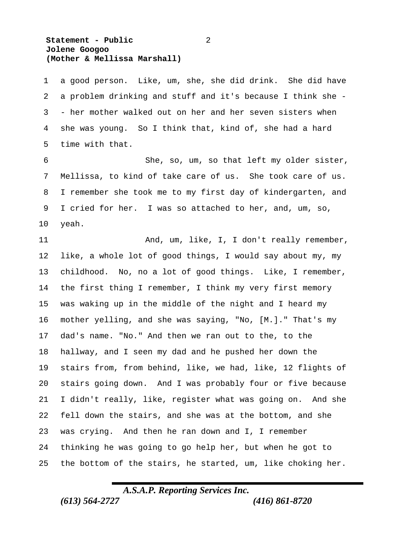#### **Statement - Public** 2  **Jolene Googoo (Mother & Mellissa Marshall)**

 a good person. Like, um, she, she did drink. She did have a problem drinking and stuff and it's because I think she - - her mother walked out on her and her seven sisters when she was young. So I think that, kind of, she had a hard time with that.

 She, so, um, so that left my older sister, Mellissa, to kind of take care of us. She took care of us. I remember she took me to my first day of kindergarten, and I cried for her. I was so attached to her, and, um, so, yeah.

11 And, um, like, I, I don't really remember, like, a whole lot of good things, I would say about my, my childhood. No, no a lot of good things. Like, I remember, the first thing I remember, I think my very first memory was waking up in the middle of the night and I heard my mother yelling, and she was saying, "No, [M.]." That's my dad's name. "No." And then we ran out to the, to the hallway, and I seen my dad and he pushed her down the stairs from, from behind, like, we had, like, 12 flights of stairs going down. And I was probably four or five because I didn't really, like, register what was going on. And she fell down the stairs, and she was at the bottom, and she was crying. And then he ran down and I, I remember thinking he was going to go help her, but when he got to the bottom of the stairs, he started, um, like choking her.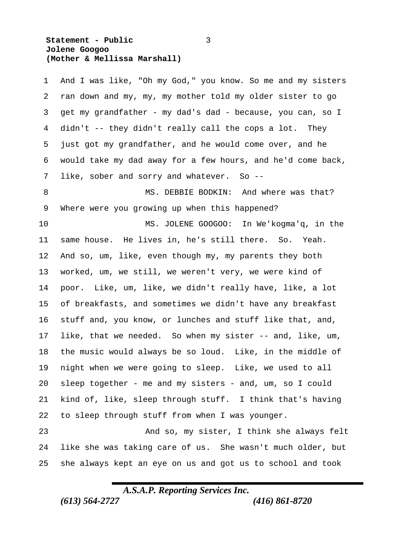#### **Statement - Public** 3  **Jolene Googoo (Mother & Mellissa Marshall)**

| 1  | And I was like, "Oh my God," you know. So me and my sisters |
|----|-------------------------------------------------------------|
| 2  | ran down and my, my, my mother told my older sister to go   |
| 3  | get my grandfather - my dad's dad - because, you can, so I  |
| 4  | didn't -- they didn't really call the cops a lot. They      |
| 5  | just got my grandfather, and he would come over, and he     |
| 6  | would take my dad away for a few hours, and he'd come back, |
| 7  | like, sober and sorry and whatever.<br>$So$ --              |
| 8  | MS. DEBBIE BODKIN: And where was that?                      |
| 9  | Where were you growing up when this happened?               |
| 10 | MS. JOLENE GOOGOO: In We'kogma'q, in the                    |
| 11 | same house. He lives in, he's still there. So. Yeah.        |
| 12 | And so, um, like, even though my, my parents they both      |
| 13 | worked, um, we still, we weren't very, we were kind of      |
| 14 | poor. Like, um, like, we didn't really have, like, a lot    |
| 15 | of breakfasts, and sometimes we didn't have any breakfast   |
| 16 | stuff and, you know, or lunches and stuff like that, and,   |
| 17 | like, that we needed. So when my sister -- and, like, um,   |
| 18 | the music would always be so loud. Like, in the middle of   |
| 19 | night when we were going to sleep. Like, we used to all     |
| 20 | sleep together - me and my sisters - and, um, so I could    |
| 21 | kind of, like, sleep through stuff. I think that's having   |
| 22 | to sleep through stuff from when I was younger.             |
| 23 | And so, my sister, I think she always felt                  |
| 24 | like she was taking care of us. She wasn't much older, but  |
| 25 | she always kept an eye on us and got us to school and took  |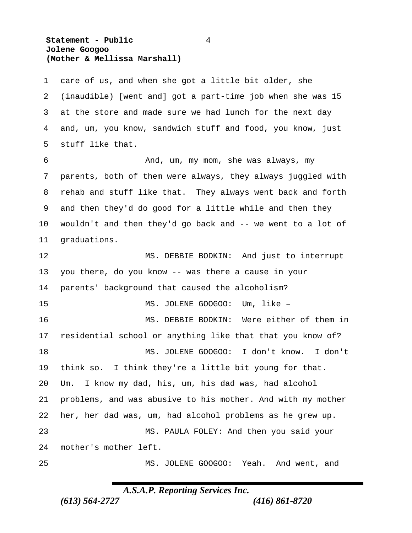#### **Statement - Public** 4  **Jolene Googoo (Mother & Mellissa Marshall)**

 care of us, and when she got a little bit older, she 2 (inaudible) [went and] got a part-time job when she was 15 at the store and made sure we had lunch for the next day and, um, you know, sandwich stuff and food, you know, just stuff like that. And, um, my mom, she was always, my parents, both of them were always, they always juggled with rehab and stuff like that. They always went back and forth and then they'd do good for a little while and then they wouldn't and then they'd go back and -- we went to a lot of graduations. MS. DEBBIE BODKIN: And just to interrupt you there, do you know -- was there a cause in your parents' background that caused the alcoholism? MS. JOLENE GOOGOO: Um, like – MS. DEBBIE BODKIN: Were either of them in residential school or anything like that that you know of? MS. JOLENE GOOGOO: I don't know. I don't think so. I think they're a little bit young for that. Um. I know my dad, his, um, his dad was, had alcohol problems, and was abusive to his mother. And with my mother her, her dad was, um, had alcohol problems as he grew up. MS. PAULA FOLEY: And then you said your mother's mother left. MS. JOLENE GOOGOO: Yeah. And went, and

## *A.S.A.P. Reporting Services Inc.*

*(613) 564-2727 (416) 861-8720*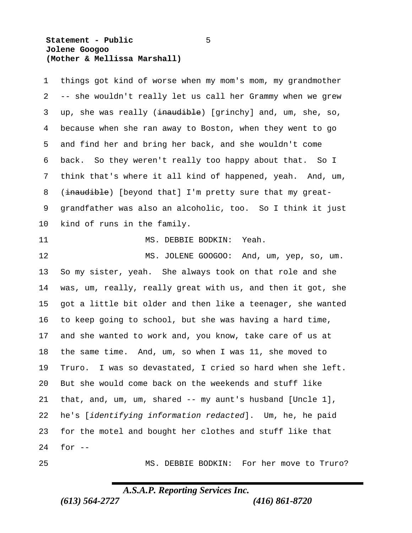#### **Statement - Public** 5  **Jolene Googoo (Mother & Mellissa Marshall)**

 things got kind of worse when my mom's mom, my grandmother -- she wouldn't really let us call her Grammy when we grew 3 up, she was really (inaudible) [qrinchy] and, um, she, so, because when she ran away to Boston, when they went to go and find her and bring her back, and she wouldn't come back. So they weren't really too happy about that. So I think that's where it all kind of happened, yeah. And, um, 8 (inaudible) [beyond that] I'm pretty sure that my great- grandfather was also an alcoholic, too. So I think it just kind of runs in the family. 11 MS. DEBBIE BODKIN: Yeah. 12 MS. JOLENE GOOGOO: And, um, yep, so, um. So my sister, yeah. She always took on that role and she was, um, really, really great with us, and then it got, she got a little bit older and then like a teenager, she wanted to keep going to school, but she was having a hard time, and she wanted to work and, you know, take care of us at the same time. And, um, so when I was 11, she moved to Truro. I was so devastated, I cried so hard when she left. But she would come back on the weekends and stuff like that, and, um, um, shared -- my aunt's husband [Uncle 1], he's [*identifying information redacted*]. Um, he, he paid for the motel and bought her clothes and stuff like that for -- MS. DEBBIE BODKIN: For her move to Truro?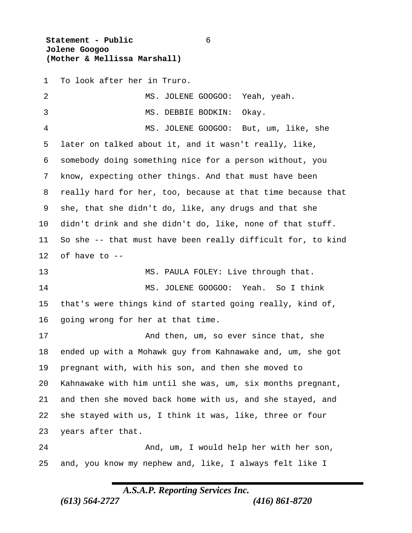**Statement - Public** 6  **Jolene Googoo (Mother & Mellissa Marshall)**

To look after her in Truro.

| 2              | MS. JOLENE GOOGOO:<br>Yeah, yeah.                           |
|----------------|-------------------------------------------------------------|
| 3              | MS. DEBBIE BODKIN:<br>Okay.                                 |
| $\overline{4}$ | MS. JOLENE GOOGOO: But, um, like, she                       |
| 5              | later on talked about it, and it wasn't really, like,       |
| 6              | somebody doing something nice for a person without, you     |
| 7              | know, expecting other things. And that must have been       |
| 8              | really hard for her, too, because at that time because that |
| 9              | she, that she didn't do, like, any drugs and that she       |
| $10 \,$        | didn't drink and she didn't do, like, none of that stuff.   |
| 11             | So she -- that must have been really difficult for, to kind |
| 12             | of have to --                                               |
| 13             | MS. PAULA FOLEY: Live through that.                         |
| 14             | MS. JOLENE GOOGOO: Yeah. So I think                         |
| 15             | that's were things kind of started going really, kind of,   |
| 16             | going wrong for her at that time.                           |
| 17             | And then, um, so ever since that, she                       |
| 18             | ended up with a Mohawk guy from Kahnawake and, um, she got  |
| 19             | pregnant with, with his son, and then she moved to          |
| 20             | Kahnawake with him until she was, um, six months pregnant,  |
| 21             | and then she moved back home with us, and she stayed, and   |
| 22             | she stayed with us, I think it was, like, three or four     |
| 23             | years after that.                                           |
| 24             | And, um, I would help her with her son,                     |
| 25             | and, you know my nephew and, like, I always felt like I     |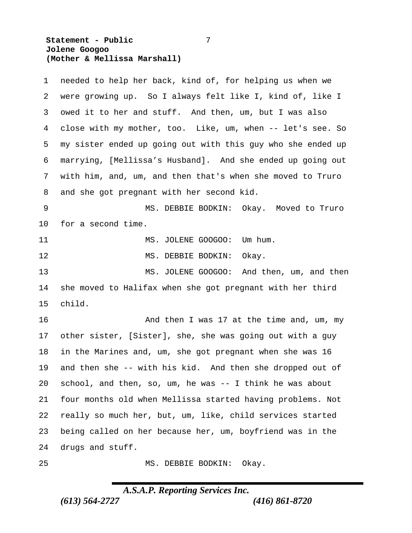#### **Statement - Public** 7  **Jolene Googoo (Mother & Mellissa Marshall)**

| 1       | needed to help her back, kind of, for helping us when we    |
|---------|-------------------------------------------------------------|
| 2       | were growing up. So I always felt like I, kind of, like I   |
| 3       | owed it to her and stuff. And then, um, but I was also      |
| 4       | close with my mother, too. Like, um, when -- let's see. So  |
| 5       | my sister ended up going out with this guy who she ended up |
| 6       | marrying, [Mellissa's Husband]. And she ended up going out  |
| 7       | with him, and, um, and then that's when she moved to Truro  |
| 8       | and she got pregnant with her second kid.                   |
| 9       | MS. DEBBIE BODKIN: Okay. Moved to Truro                     |
| $10 \,$ | for a second time.                                          |
| 11      | MS. JOLENE GOOGOO:<br>Um hum.                               |
| 12      | MS.<br>DEBBIE BODKIN:<br>Okay.                              |
| 13      | JOLENE GOOGOO: And then, um, and then<br>MS.                |
| 14      | she moved to Halifax when she got pregnant with her third   |
| 15      | child.                                                      |
| 16      | And then I was 17 at the time and, um, my                   |
| 17      | other sister, [Sister], she, she was going out with a guy   |
| 18      | in the Marines and, um, she got pregnant when she was 16    |
| 19      | and then she -- with his kid. And then she dropped out of   |
| 20      | school, and then, so, um, he was -- I think he was about    |
| 21      | four months old when Mellissa started having problems. Not  |
| 22      | really so much her, but, um, like, child services started   |
| 23      | being called on her because her, um, boyfriend was in the   |
| 24      | drugs and stuff.                                            |
| 25      | Okay.<br>MS. DEBBIE BODKIN:                                 |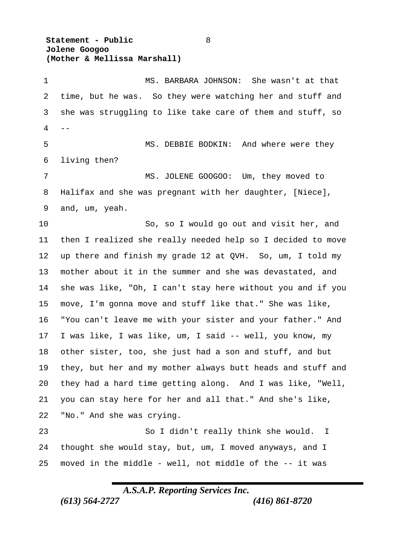**Statement - Public** 8  **Jolene Googoo (Mother & Mellissa Marshall)**

 MS. BARBARA JOHNSON: She wasn't at that time, but he was. So they were watching her and stuff and she was struggling to like take care of them and stuff, so  $\overline{4}$  MS. DEBBIE BODKIN: And where were they living then? MS. JOLENE GOOGOO: Um, they moved to Halifax and she was pregnant with her daughter, [Niece], and, um, yeah. So, so I would go out and visit her, and then I realized she really needed help so I decided to move up there and finish my grade 12 at QVH. So, um, I told my mother about it in the summer and she was devastated, and she was like, "Oh, I can't stay here without you and if you move, I'm gonna move and stuff like that." She was like, "You can't leave me with your sister and your father." And I was like, I was like, um, I said -- well, you know, my other sister, too, she just had a son and stuff, and but they, but her and my mother always butt heads and stuff and they had a hard time getting along. And I was like, "Well, you can stay here for her and all that." And she's like, "No." And she was crying. So I didn't really think she would. I thought she would stay, but, um, I moved anyways, and I moved in the middle - well, not middle of the -- it was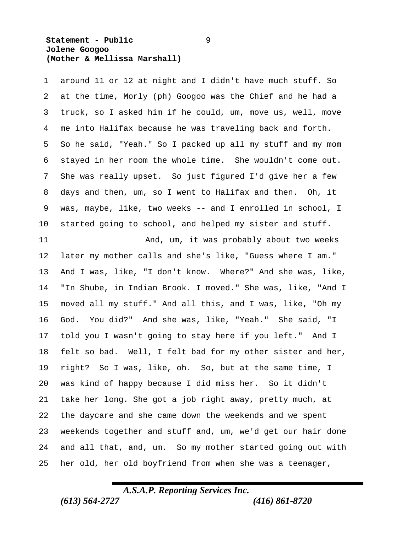#### **Statement - Public** 9  **Jolene Googoo (Mother & Mellissa Marshall)**

 around 11 or 12 at night and I didn't have much stuff. So at the time, Morly (ph) Googoo was the Chief and he had a truck, so I asked him if he could, um, move us, well, move me into Halifax because he was traveling back and forth. So he said, "Yeah." So I packed up all my stuff and my mom stayed in her room the whole time. She wouldn't come out. She was really upset. So just figured I'd give her a few days and then, um, so I went to Halifax and then. Oh, it was, maybe, like, two weeks -- and I enrolled in school, I started going to school, and helped my sister and stuff. 11 And, um, it was probably about two weeks later my mother calls and she's like, "Guess where I am." And I was, like, "I don't know. Where?" And she was, like, "In Shube, in Indian Brook. I moved." She was, like, "And I moved all my stuff." And all this, and I was, like, "Oh my God. You did?" And she was, like, "Yeah." She said, "I told you I wasn't going to stay here if you left." And I felt so bad. Well, I felt bad for my other sister and her, right? So I was, like, oh. So, but at the same time, I was kind of happy because I did miss her. So it didn't take her long. She got a job right away, pretty much, at the daycare and she came down the weekends and we spent

 weekends together and stuff and, um, we'd get our hair done and all that, and, um. So my mother started going out with her old, her old boyfriend from when she was a teenager,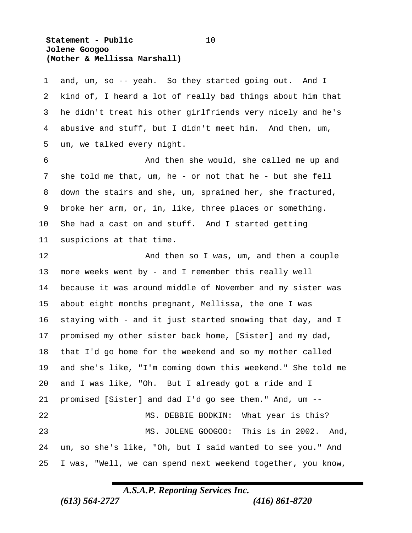#### **Statement - Public** 10  **Jolene Googoo (Mother & Mellissa Marshall)**

 and, um, so -- yeah. So they started going out. And I kind of, I heard a lot of really bad things about him that he didn't treat his other girlfriends very nicely and he's abusive and stuff, but I didn't meet him. And then, um, um, we talked every night.

 And then she would, she called me up and she told me that, um, he - or not that he - but she fell down the stairs and she, um, sprained her, she fractured, broke her arm, or, in, like, three places or something. She had a cast on and stuff. And I started getting suspicions at that time.

12 And then so I was, um, and then a couple more weeks went by - and I remember this really well because it was around middle of November and my sister was about eight months pregnant, Mellissa, the one I was staying with - and it just started snowing that day, and I promised my other sister back home, [Sister] and my dad, that I'd go home for the weekend and so my mother called and she's like, "I'm coming down this weekend." She told me and I was like, "Oh. But I already got a ride and I promised [Sister] and dad I'd go see them." And, um -- MS. DEBBIE BODKIN: What year is this? MS. JOLENE GOOGOO: This is in 2002. And, um, so she's like, "Oh, but I said wanted to see you." And I was, "Well, we can spend next weekend together, you know,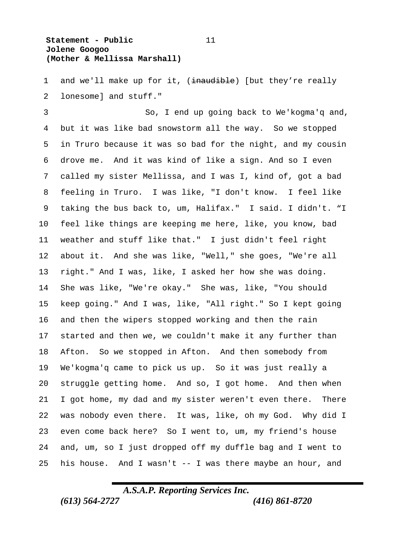#### **Statement - Public** 11  **Jolene Googoo (Mother & Mellissa Marshall)**

1 and we'll make up for it, (inaudible) [but they're really lonesome] and stuff."

 So, I end up going back to We'kogma'q and, but it was like bad snowstorm all the way. So we stopped in Truro because it was so bad for the night, and my cousin drove me. And it was kind of like a sign. And so I even called my sister Mellissa, and I was I, kind of, got a bad feeling in Truro. I was like, "I don't know. I feel like taking the bus back to, um, Halifax." I said. I didn't. "I feel like things are keeping me here, like, you know, bad weather and stuff like that." I just didn't feel right about it. And she was like, "Well," she goes, "We're all right." And I was, like, I asked her how she was doing. She was like, "We're okay." She was, like, "You should keep going." And I was, like, "All right." So I kept going and then the wipers stopped working and then the rain started and then we, we couldn't make it any further than Afton. So we stopped in Afton. And then somebody from We'kogma'q came to pick us up. So it was just really a struggle getting home. And so, I got home. And then when I got home, my dad and my sister weren't even there. There was nobody even there. It was, like, oh my God. Why did I even come back here? So I went to, um, my friend's house and, um, so I just dropped off my duffle bag and I went to 25 his house. And I wasn't  $-$  I was there maybe an hour, and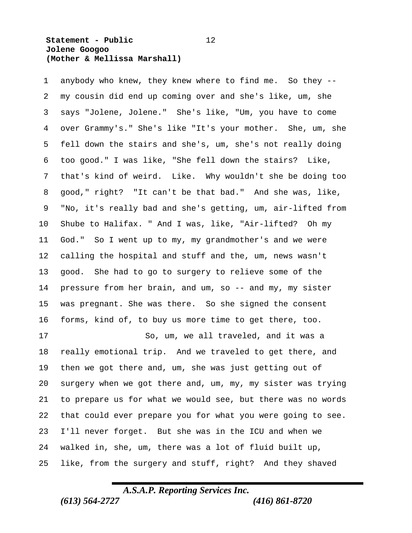#### **Statement - Public** 12  **Jolene Googoo (Mother & Mellissa Marshall)**

 anybody who knew, they knew where to find me. So they -- my cousin did end up coming over and she's like, um, she says "Jolene, Jolene." She's like, "Um, you have to come over Grammy's." She's like "It's your mother. She, um, she fell down the stairs and she's, um, she's not really doing too good." I was like, "She fell down the stairs? Like, that's kind of weird. Like. Why wouldn't she be doing too good," right? "It can't be that bad." And she was, like, "No, it's really bad and she's getting, um, air-lifted from Shube to Halifax. " And I was, like, "Air-lifted? Oh my God." So I went up to my, my grandmother's and we were calling the hospital and stuff and the, um, news wasn't good. She had to go to surgery to relieve some of the pressure from her brain, and um, so -- and my, my sister was pregnant. She was there. So she signed the consent forms, kind of, to buy us more time to get there, too. So, um, we all traveled, and it was a really emotional trip. And we traveled to get there, and then we got there and, um, she was just getting out of surgery when we got there and, um, my, my sister was trying to prepare us for what we would see, but there was no words that could ever prepare you for what you were going to see. I'll never forget. But she was in the ICU and when we walked in, she, um, there was a lot of fluid built up,

## *A.S.A.P. Reporting Services Inc. (613) 564-2727 (416) 861-8720*

like, from the surgery and stuff, right? And they shaved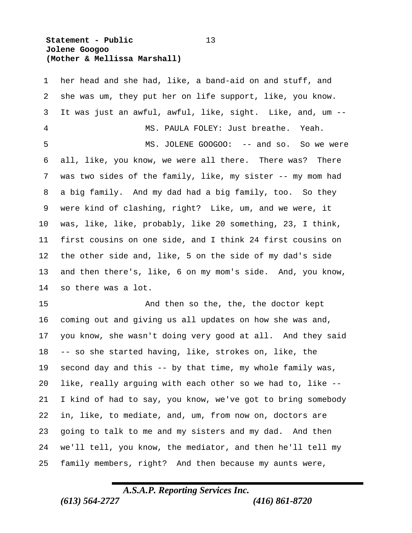#### **Statement - Public** 13  **Jolene Googoo (Mother & Mellissa Marshall)**

 her head and she had, like, a band-aid on and stuff, and she was um, they put her on life support, like, you know. It was just an awful, awful, like, sight. Like, and, um -- MS. PAULA FOLEY: Just breathe. Yeah. 5 MS. JOLENE GOOGOO: -- and so. So we were all, like, you know, we were all there. There was? There was two sides of the family, like, my sister -- my mom had a big family. And my dad had a big family, too. So they were kind of clashing, right? Like, um, and we were, it was, like, like, probably, like 20 something, 23, I think, first cousins on one side, and I think 24 first cousins on the other side and, like, 5 on the side of my dad's side and then there's, like, 6 on my mom's side. And, you know, so there was a lot. And then so the, the, the doctor kept coming out and giving us all updates on how she was and, you know, she wasn't doing very good at all. And they said -- so she started having, like, strokes on, like, the

 second day and this -- by that time, my whole family was, like, really arguing with each other so we had to, like -- I kind of had to say, you know, we've got to bring somebody in, like, to mediate, and, um, from now on, doctors are going to talk to me and my sisters and my dad. And then we'll tell, you know, the mediator, and then he'll tell my family members, right? And then because my aunts were,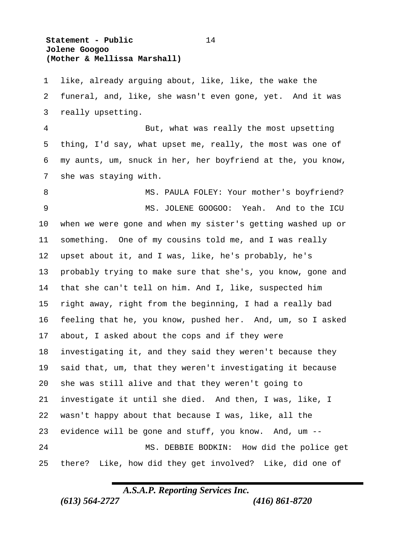#### **Statement - Public** 14  **Jolene Googoo (Mother & Mellissa Marshall)**

 like, already arguing about, like, like, the wake the funeral, and, like, she wasn't even gone, yet. And it was really upsetting.

 But, what was really the most upsetting thing, I'd say, what upset me, really, the most was one of my aunts, um, snuck in her, her boyfriend at the, you know, she was staying with.

8 MS. PAULA FOLEY: Your mother's boyfriend? MS. JOLENE GOOGOO: Yeah. And to the ICU when we were gone and when my sister's getting washed up or something. One of my cousins told me, and I was really upset about it, and I was, like, he's probably, he's probably trying to make sure that she's, you know, gone and that she can't tell on him. And I, like, suspected him right away, right from the beginning, I had a really bad feeling that he, you know, pushed her. And, um, so I asked about, I asked about the cops and if they were investigating it, and they said they weren't because they said that, um, that they weren't investigating it because she was still alive and that they weren't going to investigate it until she died. And then, I was, like, I wasn't happy about that because I was, like, all the evidence will be gone and stuff, you know. And, um -- MS. DEBBIE BODKIN: How did the police get there? Like, how did they get involved? Like, did one of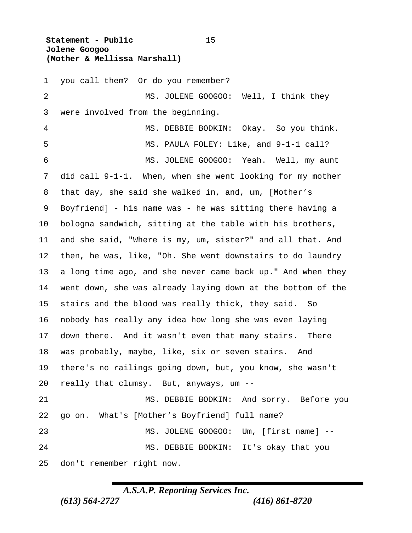**Statement - Public** 15  **Jolene Googoo (Mother & Mellissa Marshall)**

 you call them? Or do you remember? 2 MS. JOLENE GOOGOO: Well, I think they were involved from the beginning. MS. DEBBIE BODKIN: Okay. So you think. MS. PAULA FOLEY: Like, and 9-1-1 call? MS. JOLENE GOOGOO: Yeah. Well, my aunt did call 9-1-1. When, when she went looking for my mother that day, she said she walked in, and, um, [Mother's Boyfriend] - his name was - he was sitting there having a bologna sandwich, sitting at the table with his brothers, and she said, "Where is my, um, sister?" and all that. And then, he was, like, "Oh. She went downstairs to do laundry a long time ago, and she never came back up." And when they went down, she was already laying down at the bottom of the stairs and the blood was really thick, they said. So nobody has really any idea how long she was even laying down there. And it wasn't even that many stairs. There was probably, maybe, like, six or seven stairs. And there's no railings going down, but, you know, she wasn't really that clumsy. But, anyways, um -- MS. DEBBIE BODKIN: And sorry. Before you go on. What's [Mother's Boyfriend] full name? MS. JOLENE GOOGOO: Um, [first name] -- MS. DEBBIE BODKIN: It's okay that you don't remember right now.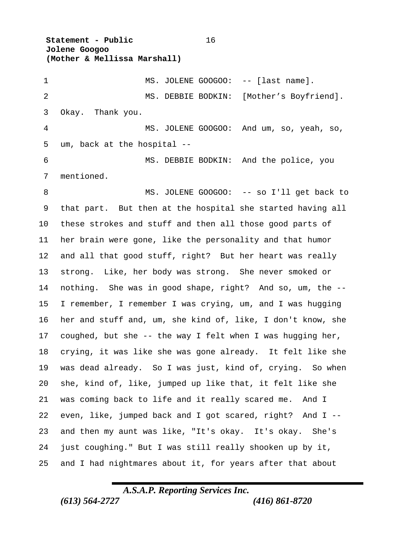**Statement - Public** 16  **Jolene Googoo (Mother & Mellissa Marshall)** 1 MS. JOLENE GOOGOO: -- [last name]. MS. DEBBIE BODKIN: [Mother's Boyfriend]. Okay. Thank you. MS. JOLENE GOOGOO: And um, so, yeah, so, um, back at the hospital -- MS. DEBBIE BODKIN: And the police, you mentioned. 8 MS. JOLENE GOOGOO: -- so I'll get back to that part. But then at the hospital she started having all these strokes and stuff and then all those good parts of her brain were gone, like the personality and that humor and all that good stuff, right? But her heart was really strong. Like, her body was strong. She never smoked or nothing. She was in good shape, right? And so, um, the -- I remember, I remember I was crying, um, and I was hugging her and stuff and, um, she kind of, like, I don't know, she coughed, but she -- the way I felt when I was hugging her, crying, it was like she was gone already. It felt like she was dead already. So I was just, kind of, crying. So when she, kind of, like, jumped up like that, it felt like she was coming back to life and it really scared me. And I even, like, jumped back and I got scared, right? And I -- and then my aunt was like, "It's okay. It's okay. She's just coughing." But I was still really shooken up by it,

and I had nightmares about it, for years after that about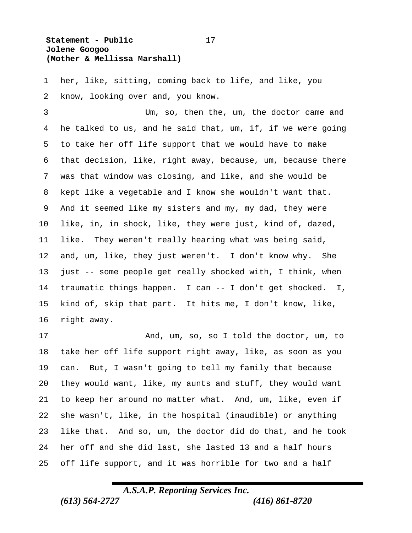#### **Statement - Public** 17  **Jolene Googoo (Mother & Mellissa Marshall)**

 her, like, sitting, coming back to life, and like, you know, looking over and, you know.

 Um, so, then the, um, the doctor came and he talked to us, and he said that, um, if, if we were going to take her off life support that we would have to make that decision, like, right away, because, um, because there was that window was closing, and like, and she would be kept like a vegetable and I know she wouldn't want that. And it seemed like my sisters and my, my dad, they were like, in, in shock, like, they were just, kind of, dazed, like. They weren't really hearing what was being said, and, um, like, they just weren't. I don't know why. She just -- some people get really shocked with, I think, when traumatic things happen. I can -- I don't get shocked. I, kind of, skip that part. It hits me, I don't know, like, right away.

 And, um, so, so I told the doctor, um, to take her off life support right away, like, as soon as you can. But, I wasn't going to tell my family that because they would want, like, my aunts and stuff, they would want to keep her around no matter what. And, um, like, even if she wasn't, like, in the hospital (inaudible) or anything like that. And so, um, the doctor did do that, and he took her off and she did last, she lasted 13 and a half hours off life support, and it was horrible for two and a half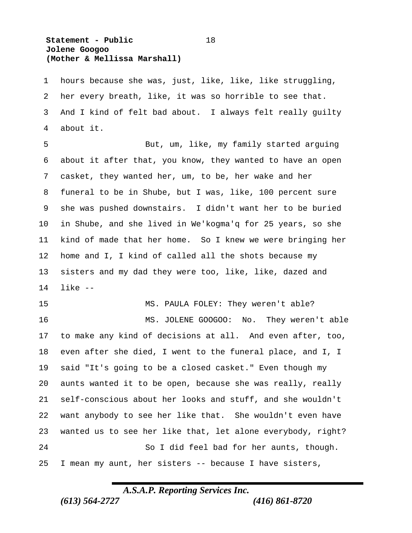#### **Statement - Public** 18  **Jolene Googoo (Mother & Mellissa Marshall)**

 hours because she was, just, like, like, like struggling, her every breath, like, it was so horrible to see that. And I kind of felt bad about. I always felt really guilty about it.

 But, um, like, my family started arguing about it after that, you know, they wanted to have an open casket, they wanted her, um, to be, her wake and her funeral to be in Shube, but I was, like, 100 percent sure she was pushed downstairs. I didn't want her to be buried in Shube, and she lived in We'kogma'q for 25 years, so she kind of made that her home. So I knew we were bringing her home and I, I kind of called all the shots because my sisters and my dad they were too, like, like, dazed and like --

15 MS. PAULA FOLEY: They weren't able? MS. JOLENE GOOGOO: No. They weren't able

 to make any kind of decisions at all. And even after, too, even after she died, I went to the funeral place, and I, I said "It's going to be a closed casket." Even though my aunts wanted it to be open, because she was really, really self-conscious about her looks and stuff, and she wouldn't want anybody to see her like that. She wouldn't even have wanted us to see her like that, let alone everybody, right? So I did feel bad for her aunts, though. I mean my aunt, her sisters -- because I have sisters,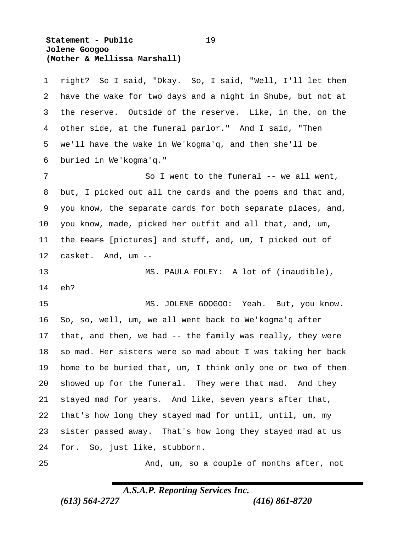#### **Statement - Public** 19  **Jolene Googoo (Mother & Mellissa Marshall)**

| $\mathbf 1$ | right? So I said, "Okay. So, I said, "Well, I'll let them   |
|-------------|-------------------------------------------------------------|
| 2           | have the wake for two days and a night in Shube, but not at |
| 3           | the reserve. Outside of the reserve. Like, in the, on the   |
| 4           | other side, at the funeral parlor." And I said, "Then       |
| 5           | we'll have the wake in We'kogma'q, and then she'll be       |
| 6           | buried in We'kogma'q."                                      |
| 7           | So I went to the funeral $--$ we all went,                  |
| 8           | but, I picked out all the cards and the poems and that and, |
| 9           | you know, the separate cards for both separate places, and, |
| 10          | you know, made, picked her outfit and all that, and, um,    |
| 11          | the tears [pictures] and stuff, and, um, I picked out of    |
| 12          | casket. And, um --                                          |
| 13          | MS. PAULA FOLEY: A lot of (inaudible),                      |
| 14          | eh?                                                         |
| 15          | MS. JOLENE GOOGOO: Yeah. But, you know.                     |
| 16          | So, so, well, um, we all went back to We'kogma'q after      |
| 17          | that, and then, we had -- the family was really, they were  |
| 18          | so mad. Her sisters were so mad about I was taking her back |
| 19          | home to be buried that, um, I think only one or two of them |
| 20          | showed up for the funeral. They were that mad. And they     |
| 21          | stayed mad for years. And like, seven years after that,     |
| 22          | that's how long they stayed mad for until, until, um, my    |
| 23          | sister passed away. That's how long they stayed mad at us   |
| 24          | for. So, just like, stubborn.                               |
| 25          | And, um, so a couple of months after, not                   |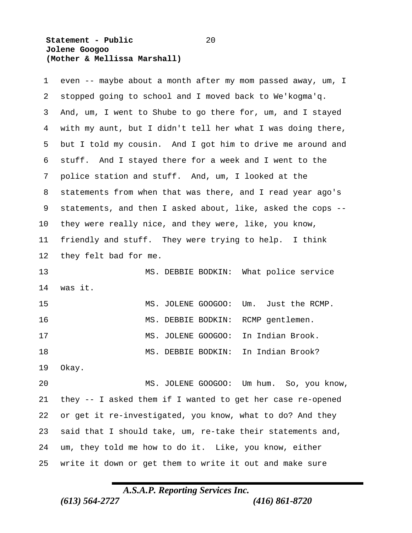#### **Statement - Public** 20  **Jolene Googoo (Mother & Mellissa Marshall)**

| 1       | even -- maybe about a month after my mom passed away, um, I |
|---------|-------------------------------------------------------------|
| 2       | stopped going to school and I moved back to We'kogma'q.     |
| 3       | And, um, I went to Shube to go there for, um, and I stayed  |
| 4       | with my aunt, but I didn't tell her what I was doing there, |
| 5       | but I told my cousin. And I got him to drive me around and  |
| 6       | stuff. And I stayed there for a week and I went to the      |
| 7       | police station and stuff. And, um, I looked at the          |
| 8       | statements from when that was there, and I read year ago's  |
| 9       | statements, and then I asked about, like, asked the cops -- |
| $10 \,$ | they were really nice, and they were, like, you know,       |
| 11      | friendly and stuff. They were trying to help. I think       |
| 12      | they felt bad for me.                                       |
| 13      | What police service<br>MS. DEBBIE BODKIN:                   |
| 14      | was it.                                                     |
| 15      | Just the RCMP.<br>MS. JOLENE GOOGOO:<br>Um.                 |
| 16      | MS. DEBBIE BODKIN:<br>RCMP gentlemen.                       |
| 17      | In Indian Brook.<br>MS. JOLENE GOOGOO:                      |
| 18      | In Indian Brook?<br>MS. DEBBIE BODKIN:                      |
| 19      | Okay.                                                       |
| 20      | MS. JOLENE GOOGOO: Um hum. So, you know,                    |
| 21      | they -- I asked them if I wanted to get her case re-opened  |
| 22      | or get it re-investigated, you know, what to do? And they   |
| 23      | said that I should take, um, re-take their statements and,  |
| 24      | um, they told me how to do it. Like, you know, either       |
| 25      | write it down or get them to write it out and make sure     |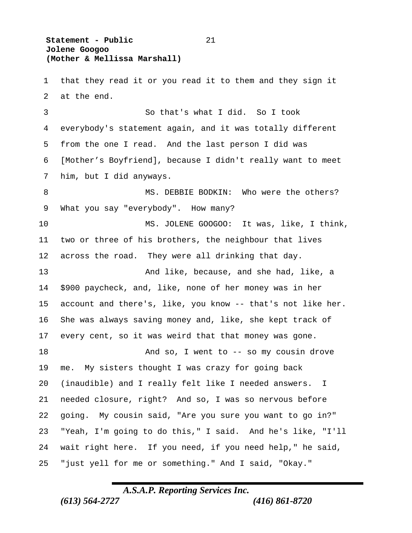**Statement - Public** 21  **Jolene Googoo (Mother & Mellissa Marshall)**

 that they read it or you read it to them and they sign it at the end. So that's what I did. So I took everybody's statement again, and it was totally different from the one I read. And the last person I did was [Mother's Boyfriend], because I didn't really want to meet him, but I did anyways. 8 MS. DEBBIE BODKIN: Who were the others? What you say "everybody". How many? MS. JOLENE GOOGOO: It was, like, I think, two or three of his brothers, the neighbour that lives across the road. They were all drinking that day. And like, because, and she had, like, a \$900 paycheck, and, like, none of her money was in her account and there's, like, you know -- that's not like her. She was always saving money and, like, she kept track of every cent, so it was weird that that money was gone. 18 And so, I went to -- so my cousin drove me. My sisters thought I was crazy for going back (inaudible) and I really felt like I needed answers. I needed closure, right? And so, I was so nervous before going. My cousin said, "Are you sure you want to go in?" "Yeah, I'm going to do this," I said. And he's like, "I'll wait right here. If you need, if you need help," he said, "just yell for me or something." And I said, "Okay."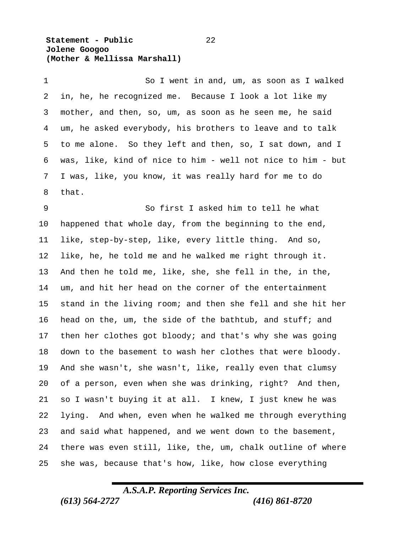**Statement - Public** 22  **Jolene Googoo (Mother & Mellissa Marshall)**

 So I went in and, um, as soon as I walked in, he, he recognized me. Because I look a lot like my mother, and then, so, um, as soon as he seen me, he said um, he asked everybody, his brothers to leave and to talk to me alone. So they left and then, so, I sat down, and I was, like, kind of nice to him - well not nice to him - but I was, like, you know, it was really hard for me to do that.

 So first I asked him to tell he what happened that whole day, from the beginning to the end, like, step-by-step, like, every little thing. And so, like, he, he told me and he walked me right through it. And then he told me, like, she, she fell in the, in the, um, and hit her head on the corner of the entertainment stand in the living room; and then she fell and she hit her head on the, um, the side of the bathtub, and stuff; and then her clothes got bloody; and that's why she was going down to the basement to wash her clothes that were bloody. And she wasn't, she wasn't, like, really even that clumsy of a person, even when she was drinking, right? And then, so I wasn't buying it at all. I knew, I just knew he was lying. And when, even when he walked me through everything and said what happened, and we went down to the basement, there was even still, like, the, um, chalk outline of where she was, because that's how, like, how close everything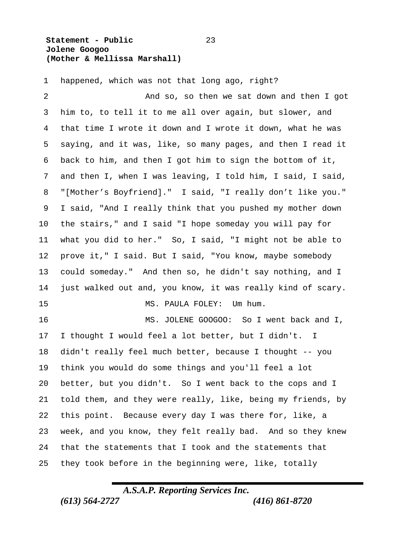#### **Statement - Public** 23  **Jolene Googoo (Mother & Mellissa Marshall)**

happened, which was not that long ago, right?

 And so, so then we sat down and then I got him to, to tell it to me all over again, but slower, and that time I wrote it down and I wrote it down, what he was saying, and it was, like, so many pages, and then I read it back to him, and then I got him to sign the bottom of it, and then I, when I was leaving, I told him, I said, I said, "[Mother's Boyfriend]." I said, "I really don't like you." I said, "And I really think that you pushed my mother down the stairs," and I said "I hope someday you will pay for what you did to her." So, I said, "I might not be able to prove it," I said. But I said, "You know, maybe somebody could someday." And then so, he didn't say nothing, and I just walked out and, you know, it was really kind of scary. 15 MS. PAULA FOLEY: Um hum. MS. JOLENE GOOGOO: So I went back and I, I thought I would feel a lot better, but I didn't. I didn't really feel much better, because I thought -- you think you would do some things and you'll feel a lot better, but you didn't. So I went back to the cops and I told them, and they were really, like, being my friends, by this point. Because every day I was there for, like, a week, and you know, they felt really bad. And so they knew that the statements that I took and the statements that they took before in the beginning were, like, totally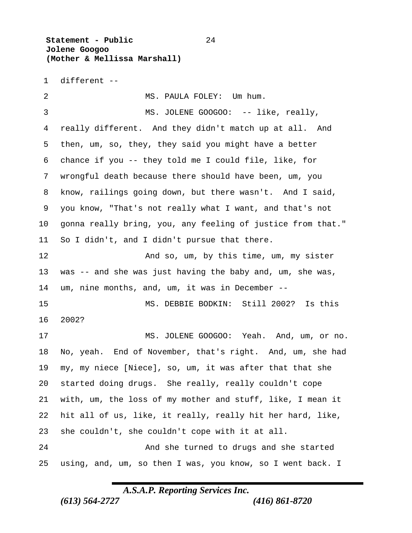**Statement - Public** 24  **Jolene Googoo (Mother & Mellissa Marshall)**

different --

2 MS. PAULA FOLEY: Um hum. 3 MS. JOLENE GOOGOO: -- like, really, really different. And they didn't match up at all. And then, um, so, they, they said you might have a better chance if you -- they told me I could file, like, for wrongful death because there should have been, um, you know, railings going down, but there wasn't. And I said, you know, "That's not really what I want, and that's not gonna really bring, you, any feeling of justice from that." So I didn't, and I didn't pursue that there. 12 And so, um, by this time, um, my sister was -- and she was just having the baby and, um, she was, um, nine months, and, um, it was in December -- MS. DEBBIE BODKIN: Still 2002? Is this 2002? MS. JOLENE GOOGOO: Yeah. And, um, or no. No, yeah. End of November, that's right. And, um, she had my, my niece [Niece], so, um, it was after that that she started doing drugs. She really, really couldn't cope with, um, the loss of my mother and stuff, like, I mean it hit all of us, like, it really, really hit her hard, like, she couldn't, she couldn't cope with it at all. And she turned to drugs and she started using, and, um, so then I was, you know, so I went back. I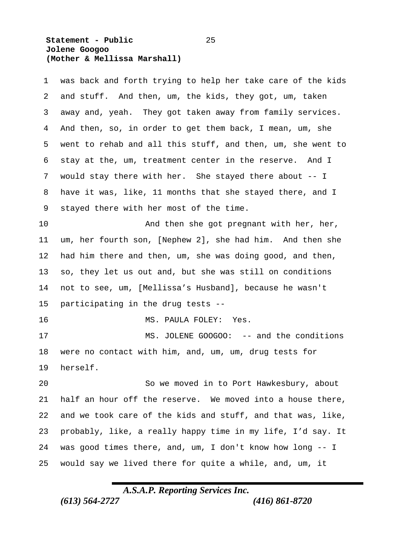#### **Statement - Public** 25  **Jolene Googoo (Mother & Mellissa Marshall)**

| 1  | was back and forth trying to help her take care of the kids |
|----|-------------------------------------------------------------|
| 2  | and stuff. And then, um, the kids, they got, um, taken      |
| 3  | away and, yeah. They got taken away from family services.   |
| 4  | And then, so, in order to get them back, I mean, um, she    |
| 5  | went to rehab and all this stuff, and then, um, she went to |
| 6  | stay at the, um, treatment center in the reserve.<br>And I  |
| 7  | would stay there with her. She stayed there about -- I      |
| 8  | have it was, like, 11 months that she stayed there, and I   |
| 9  | stayed there with her most of the time.                     |
| 10 | And then she got pregnant with her, her,                    |
| 11 | um, her fourth son, [Nephew 2], she had him. And then she   |
| 12 | had him there and then, um, she was doing good, and then,   |
| 13 | so, they let us out and, but she was still on conditions    |
| 14 | not to see, um, [Mellissa's Husband], because he wasn't     |
| 15 | participating in the drug tests --                          |
| 16 | MS. PAULA FOLEY:<br>Yes.                                    |
| 17 | MS. JOLENE GOOGOO: -- and the conditions                    |
| 18 | were no contact with him, and, um, um, drug tests for       |
| 19 | herself.                                                    |
| 20 | So we moved in to Port Hawkesbury, about                    |
| 21 | half an hour off the reserve. We moved into a house there,  |
| 22 | and we took care of the kids and stuff, and that was, like, |
| 23 | probably, like, a really happy time in my life, I'd say. It |
| 24 | was good times there, and, um, I don't know how long -- I   |
| 25 | would say we lived there for quite a while, and, um, it     |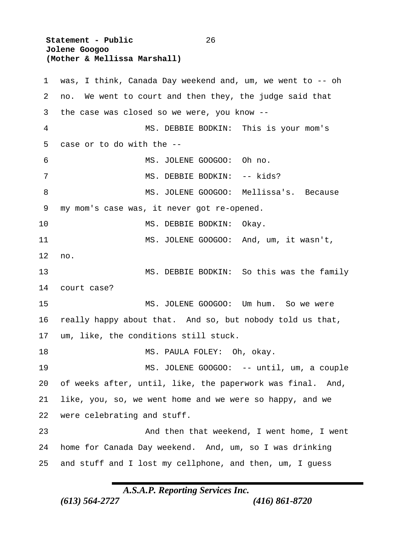**Statement - Public** 26  **Jolene Googoo (Mother & Mellissa Marshall)** was, I think, Canada Day weekend and, um, we went to -- oh no. We went to court and then they, the judge said that the case was closed so we were, you know -- MS. DEBBIE BODKIN: This is your mom's case or to do with the -- MS. JOLENE GOOGOO: Oh no. 7 MS. DEBBIE BODKIN: -- kids? 8 MS. JOLENE GOOGOO: Mellissa's. Because my mom's case was, it never got re-opened. 10 MS. DEBBIE BODKIN: Okay. MS. JOLENE GOOGOO: And, um, it wasn't, no. MS. DEBBIE BODKIN: So this was the family court case? 15 MS. JOLENE GOOGOO: Um hum. So we were really happy about that. And so, but nobody told us that, um, like, the conditions still stuck. 18 MS. PAULA FOLEY: Oh, okay. 19 MS. JOLENE GOOGOO: -- until, um, a couple of weeks after, until, like, the paperwork was final. And, like, you, so, we went home and we were so happy, and we were celebrating and stuff. And then that weekend, I went home, I went home for Canada Day weekend. And, um, so I was drinking and stuff and I lost my cellphone, and then, um, I guess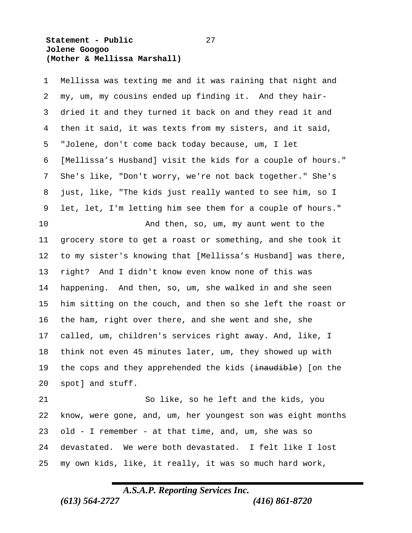#### **Statement - Public** 27  **Jolene Googoo (Mother & Mellissa Marshall)**

 Mellissa was texting me and it was raining that night and my, um, my cousins ended up finding it. And they hair- dried it and they turned it back on and they read it and then it said, it was texts from my sisters, and it said, "Jolene, don't come back today because, um, I let [Mellissa's Husband] visit the kids for a couple of hours." She's like, "Don't worry, we're not back together." She's just, like, "The kids just really wanted to see him, so I let, let, I'm letting him see them for a couple of hours." And then, so, um, my aunt went to the grocery store to get a roast or something, and she took it to my sister's knowing that [Mellissa's Husband] was there, right? And I didn't know even know none of this was happening. And then, so, um, she walked in and she seen him sitting on the couch, and then so she left the roast or the ham, right over there, and she went and she, she called, um, children's services right away. And, like, I think not even 45 minutes later, um, they showed up with 19 the cops and they apprehended the kids (inaudible) [on the spot] and stuff. So like, so he left and the kids, you know, were gone, and, um, her youngest son was eight months old - I remember - at that time, and, um, she was so devastated. We were both devastated. I felt like I lost

## *A.S.A.P. Reporting Services Inc. (613) 564-2727 (416) 861-8720*

my own kids, like, it really, it was so much hard work,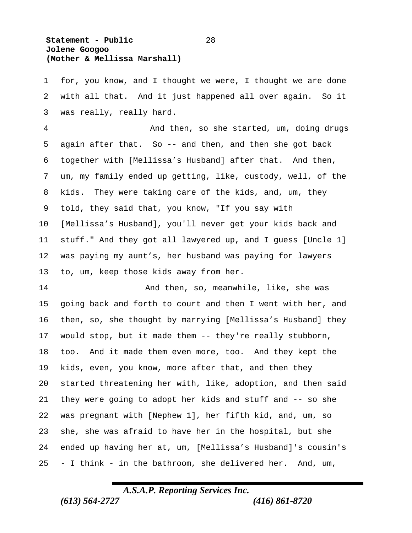#### **Statement - Public** 28  **Jolene Googoo (Mother & Mellissa Marshall)**

 for, you know, and I thought we were, I thought we are done with all that. And it just happened all over again. So it was really, really hard.

 And then, so she started, um, doing drugs again after that. So -- and then, and then she got back together with [Mellissa's Husband] after that. And then, um, my family ended up getting, like, custody, well, of the kids. They were taking care of the kids, and, um, they told, they said that, you know, "If you say with [Mellissa's Husband], you'll never get your kids back and stuff." And they got all lawyered up, and I guess [Uncle 1] was paying my aunt's, her husband was paying for lawyers to, um, keep those kids away from her.

 And then, so, meanwhile, like, she was going back and forth to court and then I went with her, and then, so, she thought by marrying [Mellissa's Husband] they would stop, but it made them -- they're really stubborn, too. And it made them even more, too. And they kept the kids, even, you know, more after that, and then they started threatening her with, like, adoption, and then said they were going to adopt her kids and stuff and -- so she was pregnant with [Nephew 1], her fifth kid, and, um, so she, she was afraid to have her in the hospital, but she ended up having her at, um, [Mellissa's Husband]'s cousin's - I think - in the bathroom, she delivered her. And, um,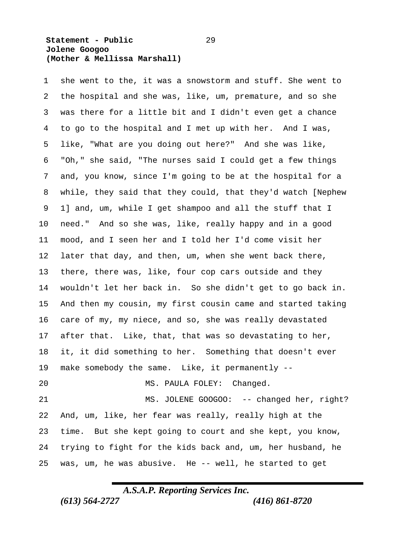#### **Statement - Public** 29  **Jolene Googoo (Mother & Mellissa Marshall)**

 she went to the, it was a snowstorm and stuff. She went to the hospital and she was, like, um, premature, and so she was there for a little bit and I didn't even get a chance to go to the hospital and I met up with her. And I was, like, "What are you doing out here?" And she was like, "Oh," she said, "The nurses said I could get a few things and, you know, since I'm going to be at the hospital for a while, they said that they could, that they'd watch [Nephew 1] and, um, while I get shampoo and all the stuff that I need." And so she was, like, really happy and in a good mood, and I seen her and I told her I'd come visit her later that day, and then, um, when she went back there, there, there was, like, four cop cars outside and they wouldn't let her back in. So she didn't get to go back in. And then my cousin, my first cousin came and started taking care of my, my niece, and so, she was really devastated after that. Like, that, that was so devastating to her, it, it did something to her. Something that doesn't ever make somebody the same. Like, it permanently -- MS. PAULA FOLEY: Changed. 21 MS. JOLENE GOOGOO: -- changed her, right? And, um, like, her fear was really, really high at the time. But she kept going to court and she kept, you know, trying to fight for the kids back and, um, her husband, he

## *A.S.A.P. Reporting Services Inc.*

was, um, he was abusive. He -- well, he started to get

*(613) 564-2727 (416) 861-8720*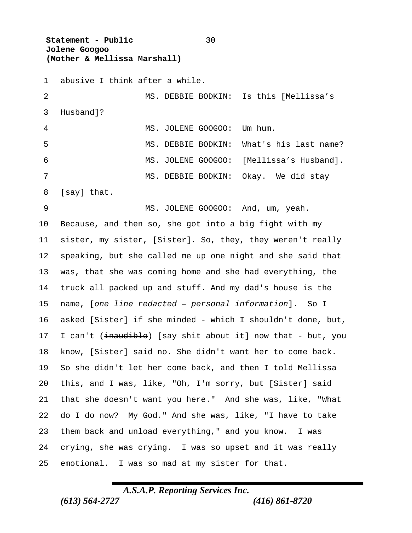**Statement - Public** 30  **Jolene Googoo (Mother & Mellissa Marshall)**

 abusive I think after a while. MS. DEBBIE BODKIN: Is this [Mellissa's Husband]? MS. JOLENE GOOGOO: Um hum. MS. DEBBIE BODKIN: What's his last name? MS. JOLENE GOOGOO: [Mellissa's Husband]. 7 MS. DEBBIE BODKIN: Okay. We did stay [say] that. 9 MS. JOLENE GOOGOO: And, um, yeah. Because, and then so, she got into a big fight with my sister, my sister, [Sister]. So, they, they weren't really speaking, but she called me up one night and she said that was, that she was coming home and she had everything, the truck all packed up and stuff. And my dad's house is the name, [*one line redacted – personal information*]. So I asked [Sister] if she minded - which I shouldn't done, but, 17 I can't (inaudible) [say shit about it] now that - but, you know, [Sister] said no. She didn't want her to come back. So she didn't let her come back, and then I told Mellissa this, and I was, like, "Oh, I'm sorry, but [Sister] said that she doesn't want you here." And she was, like, "What do I do now? My God." And she was, like, "I have to take them back and unload everything," and you know. I was crying, she was crying. I was so upset and it was really emotional. I was so mad at my sister for that.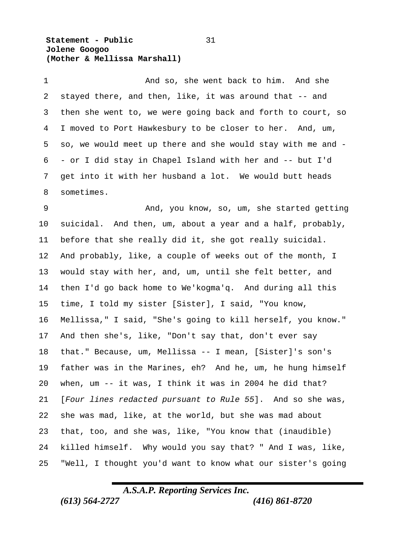**Statement - Public** 31  **Jolene Googoo (Mother & Mellissa Marshall)**

1 And so, she went back to him. And she stayed there, and then, like, it was around that -- and then she went to, we were going back and forth to court, so I moved to Port Hawkesbury to be closer to her. And, um, so, we would meet up there and she would stay with me and - - or I did stay in Chapel Island with her and -- but I'd get into it with her husband a lot. We would butt heads sometimes.

 And, you know, so, um, she started getting suicidal. And then, um, about a year and a half, probably, before that she really did it, she got really suicidal. And probably, like, a couple of weeks out of the month, I would stay with her, and, um, until she felt better, and then I'd go back home to We'kogma'q. And during all this time, I told my sister [Sister], I said, "You know, Mellissa," I said, "She's going to kill herself, you know." And then she's, like, "Don't say that, don't ever say that." Because, um, Mellissa -- I mean, [Sister]'s son's father was in the Marines, eh? And he, um, he hung himself when, um -- it was, I think it was in 2004 he did that? [*Four lines redacted pursuant to Rule 55*]. And so she was, she was mad, like, at the world, but she was mad about that, too, and she was, like, "You know that (inaudible) killed himself. Why would you say that? " And I was, like, "Well, I thought you'd want to know what our sister's going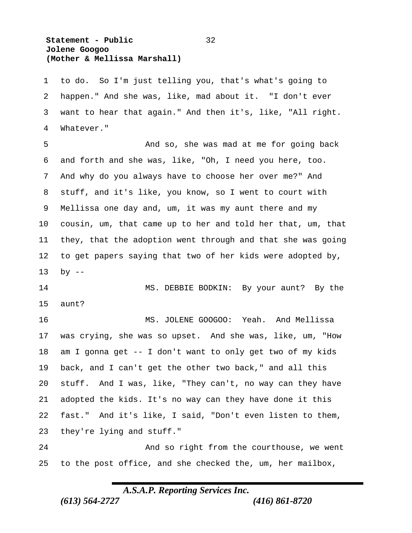#### **Statement - Public** 32  **Jolene Googoo (Mother & Mellissa Marshall)**

 to do. So I'm just telling you, that's what's going to happen." And she was, like, mad about it. "I don't ever want to hear that again." And then it's, like, "All right. Whatever."

 And so, she was mad at me for going back and forth and she was, like, "Oh, I need you here, too. And why do you always have to choose her over me?" And stuff, and it's like, you know, so I went to court with Mellissa one day and, um, it was my aunt there and my cousin, um, that came up to her and told her that, um, that they, that the adoption went through and that she was going to get papers saying that two of her kids were adopted by, by --

14 MS. DEBBIE BODKIN: By your aunt? By the aunt?

 MS. JOLENE GOOGOO: Yeah. And Mellissa was crying, she was so upset. And she was, like, um, "How am I gonna get -- I don't want to only get two of my kids back, and I can't get the other two back," and all this stuff. And I was, like, "They can't, no way can they have adopted the kids. It's no way can they have done it this fast." And it's like, I said, "Don't even listen to them, they're lying and stuff."

 And so right from the courthouse, we went to the post office, and she checked the, um, her mailbox,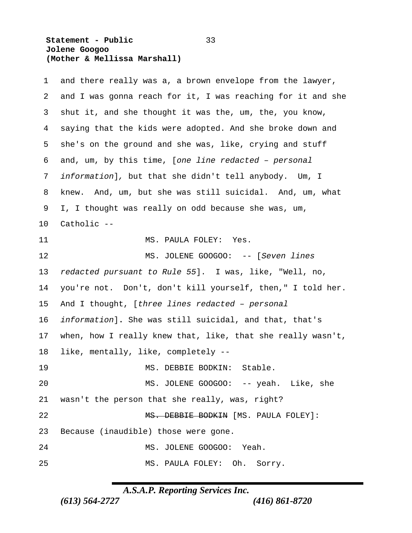#### **Statement - Public** 33  **Jolene Googoo (Mother & Mellissa Marshall)**

| 1  | and there really was a, a brown envelope from the lawyer,   |
|----|-------------------------------------------------------------|
| 2  | and I was gonna reach for it, I was reaching for it and she |
| 3  | shut it, and she thought it was the, um, the, you know,     |
| 4  | saying that the kids were adopted. And she broke down and   |
| 5  | she's on the ground and she was, like, crying and stuff     |
| 6  | and, um, by this time, [one line redacted - personal        |
| 7  | information], but that she didn't tell anybody. Um, I       |
| 8  | And, um, but she was still suicidal. And, um, what<br>knew. |
| 9  | I, I thought was really on odd because she was, um,         |
| 10 | Catholic --                                                 |
| 11 | MS. PAULA FOLEY: Yes.                                       |
| 12 | MS. JOLENE GOOGOO: -- [Seven lines                          |
| 13 | redacted pursuant to Rule 55]. I was, like, "Well, no,      |
| 14 | you're not. Don't, don't kill yourself, then," I told her.  |
| 15 | And I thought, [three lines redacted - personal             |
| 16 | information]. She was still suicidal, and that, that's      |
| 17 | when, how I really knew that, like, that she really wasn't, |
| 18 | like, mentally, like, completely --                         |
| 19 | MS. DEBBIE BODKIN:<br>Stable.                               |
| 20 | MS. JOLENE GOOGOO: -- yeah. Like, she                       |
| 21 | wasn't the person that she really, was, right?              |
| 22 | MS. DEBBIE BODKIN [MS. PAULA FOLEY]:                        |
| 23 | Because (inaudible) those were gone.                        |
| 24 | MS. JOLENE GOOGOO: Yeah.                                    |
| 25 | MS. PAULA FOLEY: Oh. Sorry.                                 |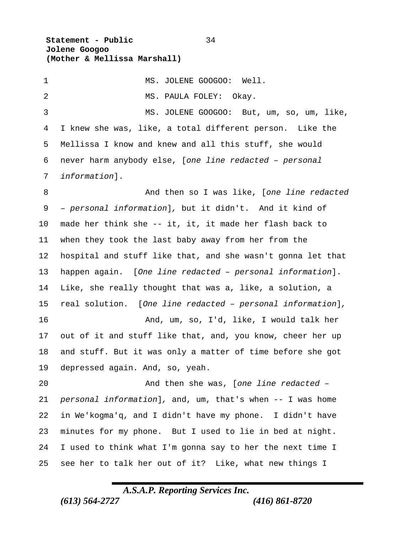**Statement - Public** 34  **Jolene Googoo (Mother & Mellissa Marshall)**

1 MS. JOLENE GOOGOO: Well. 2 MS. PAULA FOLEY: Okay. MS. JOLENE GOOGOO: But, um, so, um, like, I knew she was, like, a total different person. Like the Mellissa I know and knew and all this stuff, she would never harm anybody else, [*one line redacted – personal information*]. And then so I was like, [*one line redacted – personal information*]*,* but it didn't. And it kind of made her think she -- it, it, it made her flash back to when they took the last baby away from her from the hospital and stuff like that, and she wasn't gonna let that happen again. [*One line redacted – personal information*]. Like, she really thought that was a, like, a solution, a real solution. [*One line redacted – personal information*]*,* And, um, so, I'd, like, I would talk her out of it and stuff like that, and, you know, cheer her up and stuff. But it was only a matter of time before she got depressed again. And, so, yeah. And then she was, [*one line redacted – personal information*]*,* and, um, that's when -- I was home in We'kogma'q, and I didn't have my phone. I didn't have minutes for my phone. But I used to lie in bed at night. I used to think what I'm gonna say to her the next time I see her to talk her out of it? Like, what new things I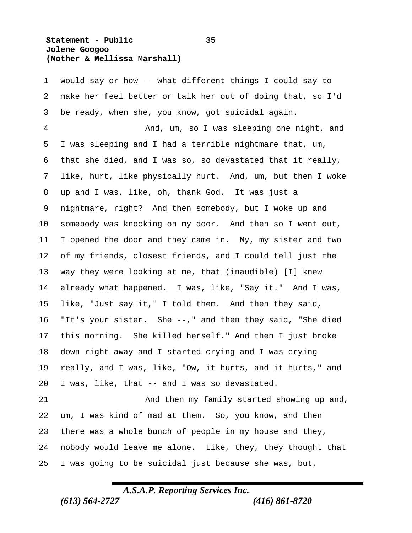#### **Statement - Public** 35  **Jolene Googoo (Mother & Mellissa Marshall)**

 would say or how -- what different things I could say to make her feel better or talk her out of doing that, so I'd be ready, when she, you know, got suicidal again.

 And, um, so I was sleeping one night, and I was sleeping and I had a terrible nightmare that, um, that she died, and I was so, so devastated that it really, like, hurt, like physically hurt. And, um, but then I woke up and I was, like, oh, thank God. It was just a nightmare, right? And then somebody, but I woke up and somebody was knocking on my door. And then so I went out, I opened the door and they came in. My, my sister and two of my friends, closest friends, and I could tell just the 13 way they were looking at me, that (inaudible) [I] knew already what happened. I was, like, "Say it." And I was, like, "Just say it," I told them. And then they said, "It's your sister. She --," and then they said, "She died this morning. She killed herself." And then I just broke down right away and I started crying and I was crying really, and I was, like, "Ow, it hurts, and it hurts," and I was, like, that -- and I was so devastated.

 And then my family started showing up and, um, I was kind of mad at them. So, you know, and then there was a whole bunch of people in my house and they, nobody would leave me alone. Like, they, they thought that I was going to be suicidal just because she was, but,

## *A.S.A.P. Reporting Services Inc.*

*(613) 564-2727 (416) 861-8720*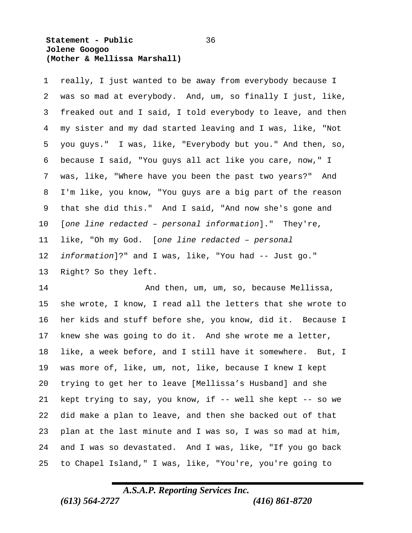#### **Statement - Public** 36  **Jolene Googoo (Mother & Mellissa Marshall)**

 really, I just wanted to be away from everybody because I was so mad at everybody. And, um, so finally I just, like, freaked out and I said, I told everybody to leave, and then my sister and my dad started leaving and I was, like, "Not you guys." I was, like, "Everybody but you." And then, so, because I said, "You guys all act like you care, now," I was, like, "Where have you been the past two years?" And I'm like, you know, "You guys are a big part of the reason that she did this." And I said, "And now she's gone and [*one line redacted – personal information*]." They're, like, "Oh my God. [*one line redacted – personal information*]?" and I was, like, "You had -- Just go." Right? So they left.

 And then, um, um, so, because Mellissa, she wrote, I know, I read all the letters that she wrote to her kids and stuff before she, you know, did it. Because I knew she was going to do it. And she wrote me a letter, like, a week before, and I still have it somewhere. But, I was more of, like, um, not, like, because I knew I kept trying to get her to leave [Mellissa's Husband] and she kept trying to say, you know, if -- well she kept -- so we did make a plan to leave, and then she backed out of that plan at the last minute and I was so, I was so mad at him, and I was so devastated. And I was, like, "If you go back to Chapel Island," I was, like, "You're, you're going to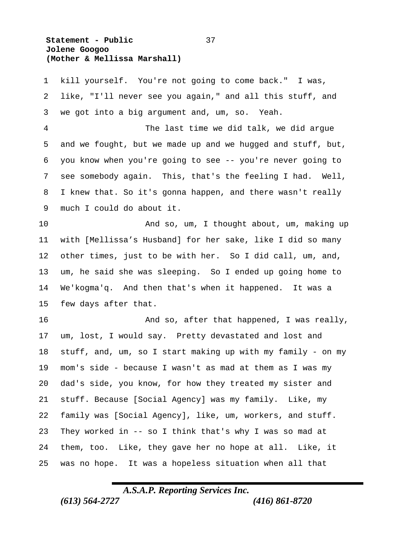**Statement - Public** 37  **Jolene Googoo (Mother & Mellissa Marshall)**

much I could do about it.

 kill yourself. You're not going to come back." I was, like, "I'll never see you again," and all this stuff, and we got into a big argument and, um, so. Yeah. The last time we did talk, we did argue and we fought, but we made up and we hugged and stuff, but, you know when you're going to see -- you're never going to see somebody again. This, that's the feeling I had. Well, I knew that. So it's gonna happen, and there wasn't really

 And so, um, I thought about, um, making up with [Mellissa's Husband] for her sake, like I did so many other times, just to be with her. So I did call, um, and, um, he said she was sleeping. So I ended up going home to We'kogma'q. And then that's when it happened. It was a few days after that.

 And so, after that happened, I was really, um, lost, I would say. Pretty devastated and lost and stuff, and, um, so I start making up with my family - on my mom's side - because I wasn't as mad at them as I was my dad's side, you know, for how they treated my sister and stuff. Because [Social Agency] was my family. Like, my family was [Social Agency], like, um, workers, and stuff. They worked in -- so I think that's why I was so mad at them, too. Like, they gave her no hope at all. Like, it was no hope. It was a hopeless situation when all that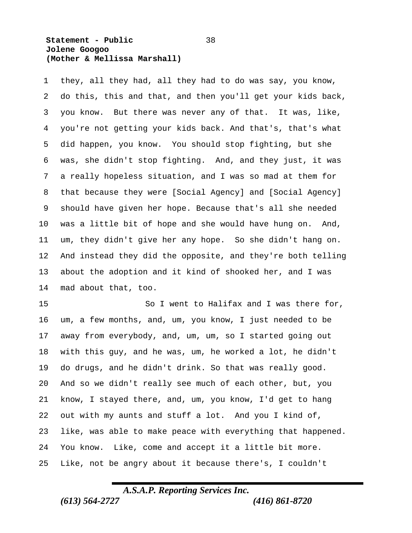#### **Statement - Public** 38  **Jolene Googoo (Mother & Mellissa Marshall)**

 they, all they had, all they had to do was say, you know, do this, this and that, and then you'll get your kids back, you know. But there was never any of that. It was, like, you're not getting your kids back. And that's, that's what did happen, you know. You should stop fighting, but she was, she didn't stop fighting. And, and they just, it was a really hopeless situation, and I was so mad at them for that because they were [Social Agency] and [Social Agency] should have given her hope. Because that's all she needed was a little bit of hope and she would have hung on. And, um, they didn't give her any hope. So she didn't hang on. And instead they did the opposite, and they're both telling about the adoption and it kind of shooked her, and I was mad about that, too.

15 So I went to Halifax and I was there for, um, a few months, and, um, you know, I just needed to be away from everybody, and, um, um, so I started going out with this guy, and he was, um, he worked a lot, he didn't do drugs, and he didn't drink. So that was really good. And so we didn't really see much of each other, but, you know, I stayed there, and, um, you know, I'd get to hang out with my aunts and stuff a lot. And you I kind of, like, was able to make peace with everything that happened. You know. Like, come and accept it a little bit more. Like, not be angry about it because there's, I couldn't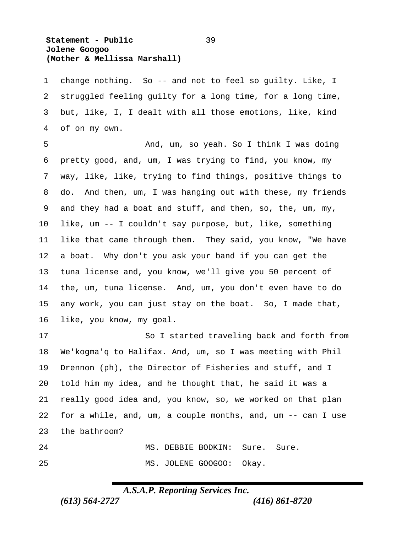#### **Statement - Public** 39  **Jolene Googoo (Mother & Mellissa Marshall)**

 change nothing. So -- and not to feel so guilty. Like, I struggled feeling guilty for a long time, for a long time, but, like, I, I dealt with all those emotions, like, kind of on my own.

 And, um, so yeah. So I think I was doing pretty good, and, um, I was trying to find, you know, my way, like, like, trying to find things, positive things to do. And then, um, I was hanging out with these, my friends and they had a boat and stuff, and then, so, the, um, my, like, um -- I couldn't say purpose, but, like, something like that came through them. They said, you know, "We have a boat. Why don't you ask your band if you can get the tuna license and, you know, we'll give you 50 percent of the, um, tuna license. And, um, you don't even have to do any work, you can just stay on the boat. So, I made that, like, you know, my goal.

 So I started traveling back and forth from We'kogma'q to Halifax. And, um, so I was meeting with Phil Drennon (ph), the Director of Fisheries and stuff, and I told him my idea, and he thought that, he said it was a really good idea and, you know, so, we worked on that plan for a while, and, um, a couple months, and, um -- can I use the bathroom?

24 MS. DEBBIE BODKIN: Sure. Sure. 25 MS. JOLENE GOOGOO: Okay.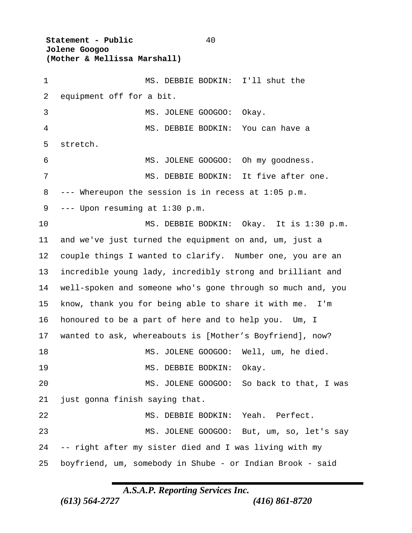**Statement - Public** 40  **Jolene Googoo (Mother & Mellissa Marshall)** MS. DEBBIE BODKIN: I'll shut the equipment off for a bit. 3 MS. JOLENE GOOGOO: Okay. MS. DEBBIE BODKIN: You can have a stretch. MS. JOLENE GOOGOO: Oh my goodness. MS. DEBBIE BODKIN: It five after one. --- Whereupon the session is in recess at 1:05 p.m. --- Upon resuming at 1:30 p.m. MS. DEBBIE BODKIN: Okay. It is 1:30 p.m. and we've just turned the equipment on and, um, just a couple things I wanted to clarify. Number one, you are an incredible young lady, incredibly strong and brilliant and well-spoken and someone who's gone through so much and, you know, thank you for being able to share it with me. I'm honoured to be a part of here and to help you. Um, I wanted to ask, whereabouts is [Mother's Boyfriend], now? MS. JOLENE GOOGOO: Well, um, he died. 19 MS. DEBBIE BODKIN: Okay. MS. JOLENE GOOGOO: So back to that, I was just gonna finish saying that. MS. DEBBIE BODKIN: Yeah. Perfect. MS. JOLENE GOOGOO: But, um, so, let's say -- right after my sister died and I was living with my boyfriend, um, somebody in Shube - or Indian Brook - said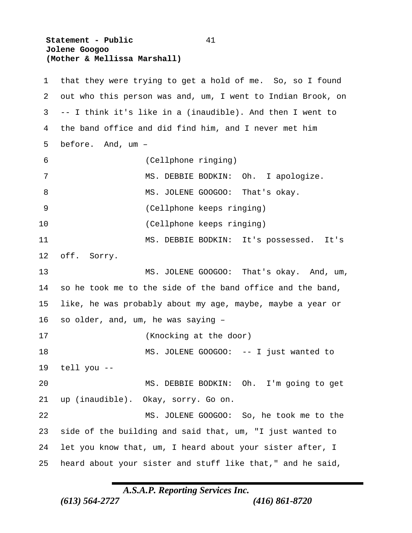**Statement - Public** 41  **Jolene Googoo (Mother & Mellissa Marshall)**

 that they were trying to get a hold of me. So, so I found out who this person was and, um, I went to Indian Brook, on -- I think it's like in a (inaudible). And then I went to the band office and did find him, and I never met him before. And, um – (Cellphone ringing) 7 MS. DEBBIE BODKIN: Oh. I apologize. 8 MS. JOLENE GOOGOO: That's okay. (Cellphone keeps ringing) (Cellphone keeps ringing) MS. DEBBIE BODKIN: It's possessed. It's off. Sorry. MS. JOLENE GOOGOO: That's okay. And, um, so he took me to the side of the band office and the band, like, he was probably about my age, maybe, maybe a year or so older, and, um, he was saying – (Knocking at the door) 18 MS. JOLENE GOOGOO: -- I just wanted to tell you -- MS. DEBBIE BODKIN: Oh. I'm going to get up (inaudible). Okay, sorry. Go on. MS. JOLENE GOOGOO: So, he took me to the side of the building and said that, um, "I just wanted to let you know that, um, I heard about your sister after, I heard about your sister and stuff like that," and he said,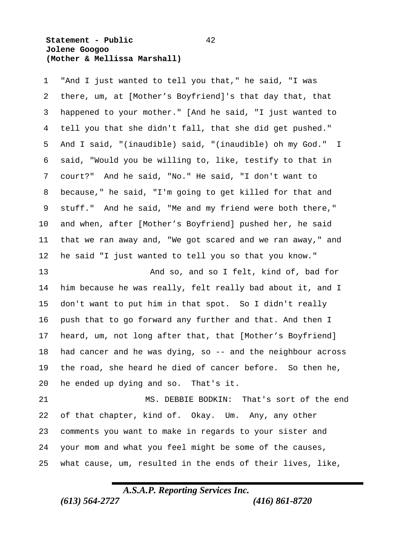#### **Statement - Public** 42  **Jolene Googoo (Mother & Mellissa Marshall)**

 "And I just wanted to tell you that," he said, "I was there, um, at [Mother's Boyfriend]'s that day that, that happened to your mother." [And he said, "I just wanted to tell you that she didn't fall, that she did get pushed." And I said, "(inaudible) said, "(inaudible) oh my God." I said, "Would you be willing to, like, testify to that in court?" And he said, "No." He said, "I don't want to because," he said, "I'm going to get killed for that and stuff." And he said, "Me and my friend were both there," and when, after [Mother's Boyfriend] pushed her, he said that we ran away and, "We got scared and we ran away," and he said "I just wanted to tell you so that you know."

 And so, and so I felt, kind of, bad for him because he was really, felt really bad about it, and I don't want to put him in that spot. So I didn't really push that to go forward any further and that. And then I heard, um, not long after that, that [Mother's Boyfriend] had cancer and he was dying, so -- and the neighbour across the road, she heard he died of cancer before. So then he, he ended up dying and so. That's it.

 MS. DEBBIE BODKIN: That's sort of the end of that chapter, kind of. Okay. Um. Any, any other comments you want to make in regards to your sister and your mom and what you feel might be some of the causes, what cause, um, resulted in the ends of their lives, like,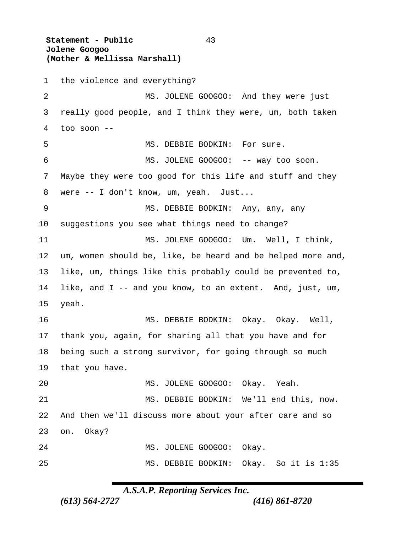**Statement - Public** 43  **Jolene Googoo (Mother & Mellissa Marshall)** the violence and everything? 2 MS. JOLENE GOOGOO: And they were just really good people, and I think they were, um, both taken too soon -- 5 MS. DEBBIE BODKIN: For sure. MS. JOLENE GOOGOO: -- way too soon. Maybe they were too good for this life and stuff and they were -- I don't know, um, yeah. Just... MS. DEBBIE BODKIN: Any, any, any suggestions you see what things need to change? MS. JOLENE GOOGOO: Um. Well, I think, um, women should be, like, be heard and be helped more and, like, um, things like this probably could be prevented to, like, and I -- and you know, to an extent. And, just, um, yeah. MS. DEBBIE BODKIN: Okay. Okay. Well, thank you, again, for sharing all that you have and for being such a strong survivor, for going through so much that you have. MS. JOLENE GOOGOO: Okay. Yeah. MS. DEBBIE BODKIN: We'll end this, now. And then we'll discuss more about your after care and so on. Okay? 24 MS. JOLENE GOOGOO: Okay. MS. DEBBIE BODKIN: Okay. So it is 1:35

### *A.S.A.P. Reporting Services Inc.*

*(613) 564-2727 (416) 861-8720*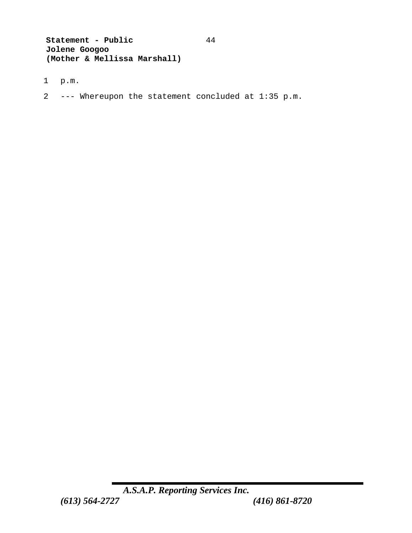**Statement - Public** 44  **Jolene Googoo (Mother & Mellissa Marshall)**

- 1 p.m.
- 2 --- Whereupon the statement concluded at 1:35 p.m.